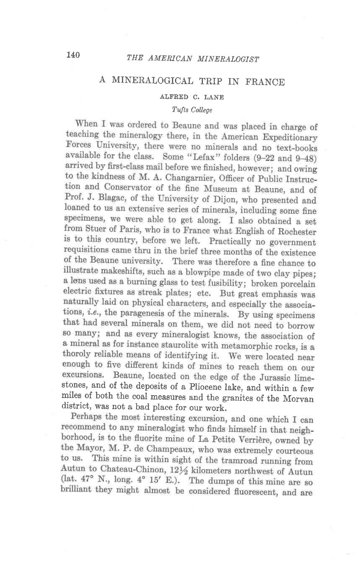## A MINERALOGICAL TRIP IN FRANCE

ALFRED C. LANE

## Tufts College

When I was ordered to Beaune and was placed in charge of teaching the mineralogy there, in the American Expeditionary Forces University, there were no minerals and no text-books available for the class. Some "Lefax" folders (9-22 and 9-48) arrived by first-class mail before we finished, however; and owing to the kindness of M. A. Changarnier, Officer of Public Instruction and Conservator of the fine Museum at Beaune, and of Prof. J. Blagac, of the University of Dijon, who presented and loaned to us an extensive series of minerals, including some fine specimens, we were able to get along. I also obtained a set from Stuer of Paris, who is to France what English of Rochester is to this country, before we left. Practically no government requisitions came thru in the brief three months of the existence of the Beaune university. There was therefore a fine chance to illustrate makeshifts, such as a blowpipe made of two clay pipes; a lens used as a burning glass to test fusibility; broken porcelain electric fixtures as streak plates; etc. But great emphasis was naturally laid on physical characters, and especially the associations, *i.e.*, the paragenesis of the minerals. By using specimens that had several minerals on them, we did not need to borrow so many; and as every mineralogist knows, the association of a mineral as for instance staurolite with metamorphic rocks, is a thoroly reliable means of identifying it. We were located near enough to five different kinds of mines to reach them on our excursions. Beaune, located on the edge of the Jurassic lime-<br>stones, and of the deposits of a Pliocene lake, and within a few miles of both the coal measures and the granites of the Morvan district, was not a bad place for our work.<br>Perhaps the most interesting excursion, and one which I can

recommend to any mineralogist who finds himself in that neighborhood, is to the fluorite mine of La Petite Verrière, owned by the Mayor, M. P. de Champeaux, who was extremely courteous to us. This mine is within sight of the tramroad running from Autun to Chateau-Chinon, 121/2 kilometers northwest of Autun (lat.  $47^{\circ}$  N., long.  $4^{\circ}$  15' E.). The dumps of this mine are so brilliant they might almost be considered fluorescent, and are